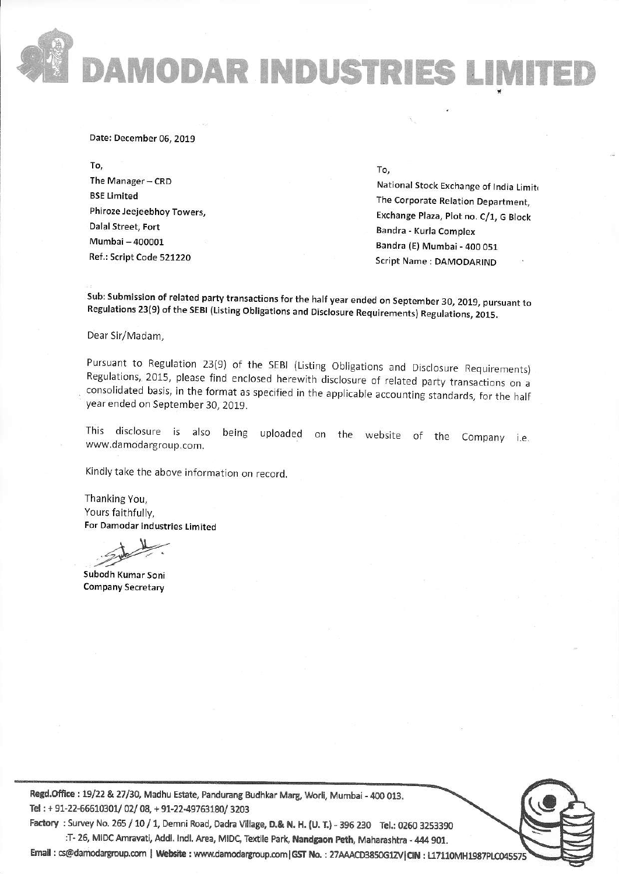DAMODAR INDUSTRIES LIMITED IMITE

#### Date: December 06, 2019 Date: December06,2019

To, The Manager – CRD BSE Limited BSE timited Phiroze Jeejeebhoy Towers, Dalal Street, Fort Mumbai - 400001 MumbEi-400001 Ref.: Script Code 521220 Ref-: Script Code 521220

### To,

National Stock Exchange of India Limit The Corporate Relation Department, The Corporate Retation Department, Exchange Plaza, Plot no. C/1, <sup>G</sup> Block Exchanse Plaza, plot no. c/1, G Btock Sandra - Kurla Complex Bandra - Kurla Complex Bandra (E) Mumbai - 400 051 Script Name : DAMODARIND

"

Sub: Submission of related party transactions for the half year ended on September 30, 2019, pursuant to<br>Regulations 23(9) of the SEBI (Listing Obligations and Disclosure Requirements) Regulations, 2015. Regulations 23(9) of the SEBI (Listing Obligations and Disclosure Requirements) Regulations, 2015.

Dear Sir/Madam, Dear Sir/Madam,

Pursuant to Regulation 23(9) of the SEBI (Listing Obligations and Disclosure Requirements<br>Regulations, 2015, please find enclosed herewith disclosure of related party transactions on a<br>consolidated basis, in the format as year ended on September 30, 2019. year ended on September 30, 2019. Pursuant to Regulation 23(9) of the SEBI (Listing Obligations and Disclosure Requirements) Regulations, 2015, please find enclosed herewith disclosure of related party transactions on a consolidated basis, in the format as specified in the applicable accounting standards, for the half

This disclosure is also being uploaded on the website of the Company i.e.<br>www.damodargroup.com. www.damodargroup.com.

Kindly take the above information on record.

Thanking You, Thanking You, Yours faithfully, Yours faithfully, For Damodar industries Limited For Damodar industries timited

Subodh Kumar Soni Company Secretary

Regd.Office : 19/22 & 27/30, Madhu Estate, Pandurang Budhkar Marg, Worli, Mumbai - 400 013. Tel: + 91-22-66610301/ 02/ 08, + 91-22-49763180/ 3203

Factory : Survey No. 265 / 10 / 1, Demni Road, Dadra Village, D.& N. H. (U. T.) - 396 230 Tel.: 0260 3253390 :T- 26, MIDC Amravati, Addl. Indl. Area, MIDC, Textile Park, **Nandgaon Peth**, Maharashtra - 444 901.

Email: cs@damodargroup.com | Website: www.damodargroup.com|GST No.: 27AAACD3850G1ZV|CIN: L17110MH1987PLC045575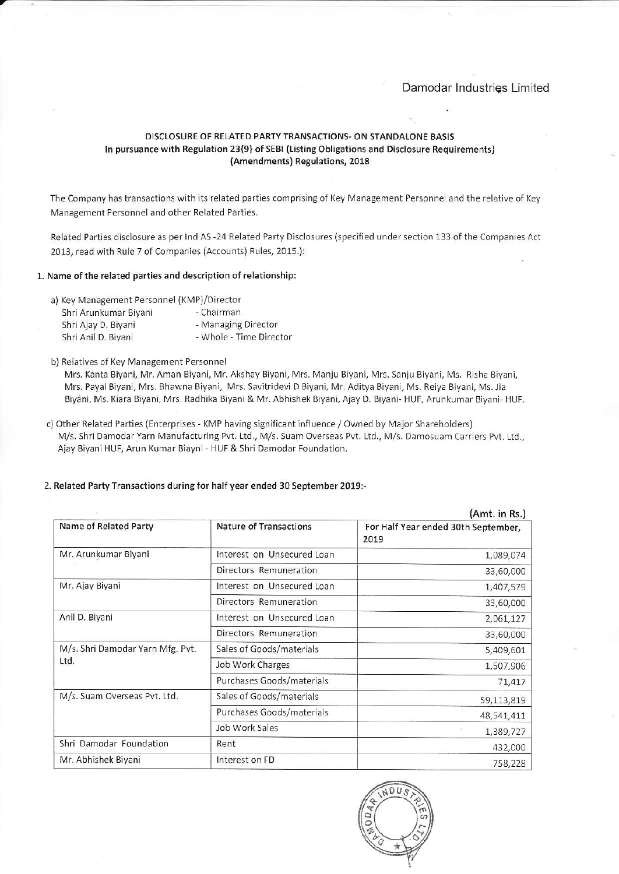# Damodar industries Limited Damodar lndustriqs Limited

## DISCLOSURE OF RELATED PARTY TRANSACTIONS- ON STANDALONE BASIS D]SCLOSURE OF RELATED PARry TRANSACTIONS. ON STANDALONE BASIS In pursuance with Regulation 23{9} of SEBI (Listing Obligations and Disclosure Requirements) (Amendments) Regulations, 2018 {Amendments) Regulations, 2018

The Company has transactions with its related parties comprising of Key Management Personnel and the relative of Key Management Personnel and other Related Parties. Management Perconnel and other Related Parties.

Related Parties disclosure as per Ind AS -24 Related Party Disclosures (specified under section 133 of the Companies Act 2013, read with Rule 7 of Companies (Accounts) Rules, 2015.):

#### 1. Name of the related parties and description of relationship: 1. Name of the related parties and description of relationship:

- a) Key Management Personnel (KMP)/Director
- Shri Arunkumar Biyani Chairm Shri Ajay D. Biyani - Managing Direct Shri Anil D. Biyani - The Director - Whole - Time Director Shri Anil D. Biyani - Managing Director

#### b) Relatives of Key Management Personnel

Mrs. Kanta Biyani, Mr. Aman Biyani, Mr. Akshay Biyani, Mrs. Manju Biyani, Mrs. Sanju Biyani, Ms. Risha Biyani, Mrs- Kanta Biyani, Mr. Aman Biyani, Mr. Akshay Biyani, Mrs. Manju Biyani, Mrs. Sanju Biyafi, Ms. Risha Biyani, Mrs. Payal Biyani, Mrs. Shawna Biyani, Mrs. Savitridevi D Biyani, Mr. Aditya Biyani, Ms. Reiya Biyani, Ms. Jia Mrs. Paya Biyani, Mrs. Bhawna Biyani, Mrs. Savitridevi D Biyani, Mr. Aditya Biyani, Ms. Reiya Biyani, Ms.lia Biyani, Ms. Kiara Biyani, Mrs. Radhika Biyani & Mr. Abhishek Biyani, Ajay D. Biyani- HUF, Arunkumar Biyani- HUF.

c) Other Related Parties (Enterprises - KMP having significant influence / Owned by Major Shareholders M/s. Shri Damodar Yarn Manufacturing Pvt. Ltd., M/s. Suam Overseas Pvt. Ltd., M/s. Damosuam Carriers Pvt. Ltd., M/s. Shri Damodar Yarn Manufacturing Pvt. Ltd., M/s.5uam Overseas Pvt. Ltd., M/s. Damosuam Carriers Pvt Ltd., Ajay Biyani HUF, Arun Kumar Biayni - HUF & Shri Damodar Foundation. Ajay Biyani HUF, Arun Kumar Biayni HUF & Shri Damodar Foundation.

|                                          |                               | (Amt. in Rs.)                               |
|------------------------------------------|-------------------------------|---------------------------------------------|
| Name of Related Party                    | <b>Nature of Transactions</b> | For Half Year ended 30th September,<br>2019 |
| Mr. Arunkumar Biyani                     | Interest on Unsecured Loan    | 1,089,074                                   |
|                                          | Directors Remuneration        | 33,60,000                                   |
| Mr. Ajay Biyani                          | Interest on Unsecured Loan    | 1,407,579                                   |
|                                          | Directors Remuneration        | 33,60,000                                   |
| Anil D. Biyani                           | Interest on Unsecured Loan    | 2,061,127                                   |
|                                          | Directors Remuneration        | 33,60,000                                   |
| M/s. Shri Damodar Yarn Mfg. Pvt.<br>Ltd. | Sales of Goods/materials      | 5,409,601                                   |
|                                          | Job Work Charges              | 1,507,906                                   |
|                                          | Purchases Goods/materials     | 71,417                                      |
| M/s. Suam Overseas Pvt. Ltd.             | Sales of Goods/materials      | 59,113,819                                  |
|                                          | Purchases Goods/materials     | 48,541,411                                  |
|                                          | Job Work Sales                | 1,389,727                                   |
| Shri Damodar Foundation                  | Rent                          | 432,000                                     |
| Mr. Abhishek Biyani                      | Interest on FD                | 758,228                                     |

### 2. Related Party Transactions during for half year ended 30 September 2019:- 2. Related Party Transactions during for halfyear ended 30 September 2019r